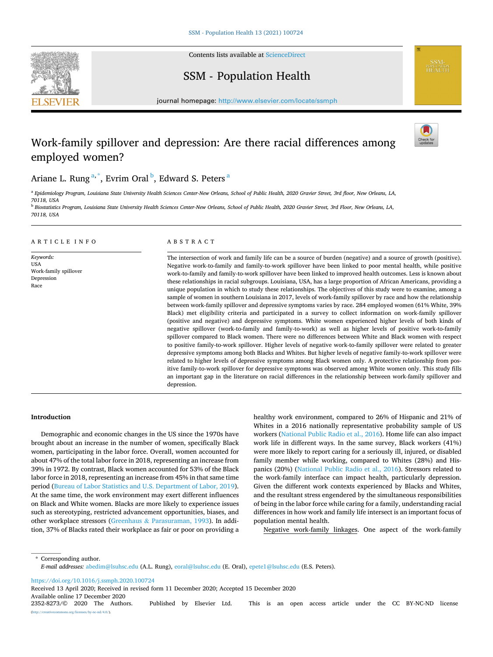

Contents lists available at [ScienceDirect](www.sciencedirect.com/science/journal/23528273)

## SSM - Population Health

journal homepage: [http://www.elsevier.com/locate/ssmph](https://http://www.elsevier.com/locate/ssmph) 

# Work-family spillover and depression: Are there racial differences among employed women?



**SSM-**<br>POPULATION<br>HEALTH

## Ariane L. Rung<sup>a,\*</sup>, Evrim Oral<sup>b</sup>, Edward S. Peters<sup>a</sup>

<sup>a</sup> *Epidemiology Program, Louisiana State University Health Sciences Center-New Orleans, School of Public Health, 2020 Gravier Street, 3rd floor, New Orleans, LA, 70118, USA* 

<sup>b</sup> *Biostatistics Program, Louisiana State University Health Sciences Center-New Orleans, School of Public Health, 2020 Gravier Street, 3rd Floor, New Orleans, LA, 70118, USA* 

## ARTICLE INFO

*Keywords:*  USA Work-family spillover Depression Race

## ABSTRACT

The intersection of work and family life can be a source of burden (negative) and a source of growth (positive). Negative work-to-family and family-to-work spillover have been linked to poor mental health, while positive work-to-family and family-to-work spillover have been linked to improved health outcomes. Less is known about these relationships in racial subgroups. Louisiana, USA, has a large proportion of African Americans, providing a unique population in which to study these relationships. The objectives of this study were to examine, among a sample of women in southern Louisiana in 2017, levels of work-family spillover by race and how the relationship between work-family spillover and depressive symptoms varies by race. 284 employed women (61% White, 39% Black) met eligibility criteria and participated in a survey to collect information on work-family spillover (positive and negative) and depressive symptoms. White women experienced higher levels of both kinds of negative spillover (work-to-family and family-to-work) as well as higher levels of positive work-to-family spillover compared to Black women. There were no differences between White and Black women with respect to positive family-to-work spillover. Higher levels of negative work-to-family spillover were related to greater depressive symptoms among both Blacks and Whites. But higher levels of negative family-to-work spillover were related to higher levels of depressive symptoms among Black women only. A protective relationship from positive family-to-work spillover for depressive symptoms was observed among White women only. This study fills an important gap in the literature on racial differences in the relationship between work-family spillover and depression.

#### **Introduction**

Demographic and economic changes in the US since the 1970s have brought about an increase in the number of women, specifically Black women, participating in the labor force. Overall, women accounted for about 47% of the total labor force in 2018, representing an increase from 39% in 1972. By contrast, Black women accounted for 53% of the Black labor force in 2018, representing an increase from 45% in that same time period [\(Bureau of Labor Statistics and U.S. Department of Labor, 2019](#page-6-0)). At the same time, the work environment may exert different influences on Black and White women. Blacks are more likely to experience issues such as stereotyping, restricted advancement opportunities, biases, and other workplace stressors (Greenhaus & [Parasuraman, 1993\)](#page-6-0). In addition, 37% of Blacks rated their workplace as fair or poor on providing a healthy work environment, compared to 26% of Hispanic and 21% of Whites in a 2016 nationally representative probability sample of US workers ([National Public Radio et al., 2016](#page-6-0)). Home life can also impact work life in different ways. In the same survey, Black workers (41%) were more likely to report caring for a seriously ill, injured, or disabled family member while working, compared to Whites (28%) and Hispanics (20%) [\(National Public Radio et al., 2016\)](#page-6-0). Stressors related to the work-family interface can impact health, particularly depression. Given the different work contexts experienced by Blacks and Whites, and the resultant stress engendered by the simultaneous responsibilities of being in the labor force while caring for a family, understanding racial differences in how work and family life intersect is an important focus of population mental health.

Negative work-family linkages. One aspect of the work-family

\* Corresponding author. *E-mail addresses:* [abedim@lsuhsc.edu](mailto:abedim@lsuhsc.edu) (A.L. Rung), [eoral@lsuhsc.edu](mailto:eoral@lsuhsc.edu) (E. Oral), [epete1@lsuhsc.edu](mailto:epete1@lsuhsc.edu) (E.S. Peters).

<https://doi.org/10.1016/j.ssmph.2020.100724>

Received 13 April 2020; Received in revised form 11 December 2020; Accepted 15 December 2020

Available online 17 December 2020<br>2352-8273/© 2020 The Authors.

2352-8273/© 2020 The Authors. Published by Elsevier Ltd. This is an open access article under the CC BY-NC-ND license  $rac{\text{nd}}{4.0}$ .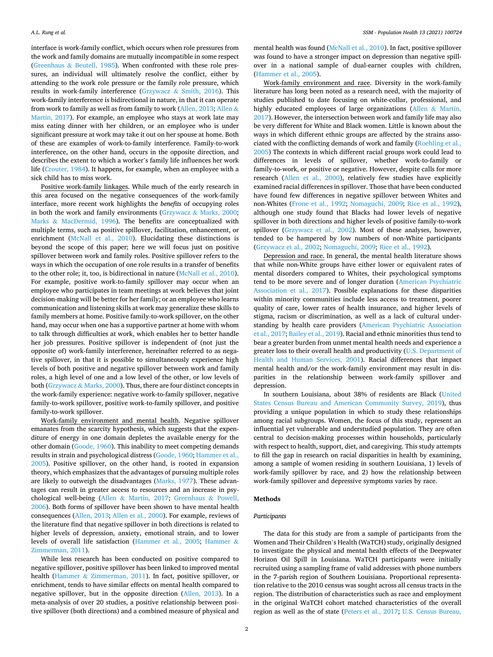interface is work-family conflict, which occurs when role pressures from the work and family domains are mutually incompatible in some respect (Greenhaus & [Beutell, 1985](#page-6-0)). When confronted with these role pressures, an individual will ultimately resolve the conflict, either by attending to the work role pressure or the family role pressure, which results in work-family interference (Grzywacz & [Smith, 2016\)](#page-6-0). This work-family interference is bidirectional in nature, in that it can operate from work to family as well as from family to work ([Allen, 2013](#page-6-0); [Allen](#page-6-0) & [Martin, 2017](#page-6-0)). For example, an employee who stays at work late may miss eating dinner with her children, or an employee who is under significant pressure at work may take it out on her spouse at home. Both of these are examples of work-to-family interference. Family-to-work interference, on the other hand, occurs in the opposite direction, and describes the extent to which a worker's family life influences her work life [\(Crouter, 1984](#page-6-0)). It happens, for example, when an employee with a sick child has to miss work.

Positive work-family linkages. While much of the early research in this area focused on the negative consequences of the work-family interface, more recent work highlights the *benefits* of occupying roles in both the work and family environments (Grzywacz & [Marks, 2000](#page-6-0); Marks & [MacDermid, 1996](#page-6-0)). The benefits are conceptualized with multiple terms, such as positive spillover, facilitation, enhancement, or enrichment [\(McNall et al., 2010](#page-6-0)). Elucidating these distinctions is beyond the scope of this paper; here we will focus just on positive spillover between work and family roles. Positive spillover refers to the ways in which the occupation of one role results in a transfer of benefits to the other role; it, too, is bidirectional in nature [\(McNall et al., 2010](#page-6-0)). For example, positive work-to-family spillover may occur when an employee who participates in team meetings at work believes that joint decision-making will be better for her family; or an employee who learns communication and listening skills at work may generalize these skills to family members at home. Positive family-to-work spillover, on the other hand, may occur when one has a supportive partner at home with whom to talk through difficulties at work, which enables her to better handle her job pressures. Positive spillover is independent of (not just the opposite of) work-family interference, hereinafter referred to as negative spillover, in that it is possible to simultaneously experience high levels of both positive and negative spillover between work and family roles, a high level of one and a low level of the other, or low levels of both (Grzywacz & [Marks, 2000](#page-6-0)). Thus, there are four distinct concepts in the work-family experience: negative work-to-family spillover, negative family-to-work spillover, positive work-to-family spillover, and positive family-to-work spillover.

Work-family environment and mental health. Negative spillover emanates from the scarcity hypothesis, which suggests that the expenditure of energy in one domain depletes the available energy for the other domain ([Goode, 1960](#page-6-0)). This inability to meet competing demands results in strain and psychological distress [\(Goode, 1960; Hammer et al.,](#page-6-0)  [2005\)](#page-6-0). Positive spillover, on the other hand, is rooted in expansion theory, which emphasizes that the advantages of pursuing multiple roles are likely to outweigh the disadvantages ([Marks, 1977\)](#page-6-0). These advantages can result in greater access to resources and an increase in psychological well-being (Allen & [Martin, 2017;](#page-6-0) [Greenhaus](#page-6-0) & Powell, [2006\)](#page-6-0). Both forms of spillover have been shown to have mental health consequences ([Allen, 2013; Allen et al., 2000\)](#page-6-0). For example, reviews of the literature find that negative spillover in both directions is related to higher levels of depression, anxiety, emotional strain, and to lower levels of overall life satisfaction [\(Hammer et al., 2005;](#page-6-0) [Hammer](#page-6-0) & [Zimmerman, 2011](#page-6-0)).

While less research has been conducted on positive compared to negative spillover, positive spillover has been linked to improved mental health (Hammer & [Zimmerman, 2011](#page-6-0)). In fact, positive spillover, or enrichment, tends to have similar effects on mental health compared to negative spillover, but in the opposite direction ([Allen, 2013](#page-6-0)). In a meta-analysis of over 20 studies, a positive relationship between positive spillover (both directions) and a combined measure of physical and mental health was found ([McNall et al., 2010](#page-6-0)). In fact, positive spillover was found to have a stronger impact on depression than negative spillover in a national sample of dual-earner couples with children, ([Hammer et al., 2005\)](#page-6-0).

Work-family environment and race. Diversity in the work-family literature has long been noted as a research need, with the majority of studies published to date focusing on white-collar, professional, and highly educated employees of large organizations (Allen & [Martin,](#page-6-0)  [2017\)](#page-6-0). However, the intersection between work and family life may also be very different for White and Black women. Little is known about the ways in which different ethnic groups are affected by the strains associated with the conflicting demands of work and family ([Roehling et al.,](#page-6-0)  [2005\)](#page-6-0) The contexts in which different racial groups work could lead to differences in levels of spillover, whether work-to-family or family-to-work, or positive or negative. However, despite calls for more research ([Allen et al., 2000\)](#page-6-0), relatively few studies have explicitly examined racial differences in spillover. Those that have been conducted have found few differences in negative spillover between Whites and non-Whites ([Frone et al., 1992;](#page-6-0) [Nomaguchi, 2009;](#page-6-0) [Rice et al., 1992](#page-6-0)), although one study found that Blacks had lower levels of negative spillover in both directions and higher levels of positive family-to-work spillover ([Grzywacz et al., 2002\)](#page-6-0). Most of these analyses, however, tended to be hampered by low numbers of non-White participants ([Grzywacz et al., 2002](#page-6-0); [Nomaguchi, 2009;](#page-6-0) [Rice et al., 1992](#page-6-0)).

Depression and race. In general, the mental health literature shows that while non-White groups have either lower or equivalent rates of mental disorders compared to Whites, their psychological symptoms tend to be more severe and of longer duration ([American Psychiatric](#page-6-0)  [Association et al., 2017](#page-6-0)). Possible explanations for these disparities within minority communities include less access to treatment, poorer quality of care, lower rates of health insurance, and higher levels of stigma, racism or discrimination, as well as a lack of cultural understanding by health care providers [\(American Psychiatric Association](#page-6-0)  [et al., 2017](#page-6-0); [Bailey et al., 2019](#page-6-0)). Racial and ethnic minorities thus tend to bear a greater burden from unmet mental health needs and experience a greater loss to their overall health and productivity ([U.S. Department of](#page-7-0)  [Health and Human Services, 2001\)](#page-7-0). Racial differences that impact mental health and/or the work-family environment may result in disparities in the relationship between work-family spillover and depression.

In southern Louisiana, about 38% of residents are Black ([United](#page-7-0)  [States Census Bureau and American Community Survey, 2019\)](#page-7-0), thus providing a unique population in which to study these relationships among racial subgroups. Women, the focus of this study, represent an influential yet vulnerable and understudied population. They are often central to decision-making processes within households, particularly with respect to health, support, diet, and caregiving. This study attempts to fill the gap in research on racial disparities in health by examining, among a sample of women residing in southern Louisiana, 1) levels of work-family spillover by race, and 2) how the relationship between work-family spillover and depressive symptoms varies by race.

## **Methods**

## *Participants*

The data for this study are from a sample of participants from the Women and Their Children's Health (WaTCH) study, originally designed to investigate the physical and mental health effects of the Deepwater Horizon Oil Spill in Louisiana. WaTCH participants were initially recruited using a sampling frame of valid addresses with phone numbers in the 7-parish region of Southern Louisiana. Proportional representation relative to the 2010 census was sought across all census tracts in the region. The distribution of characteristics such as race and employment in the original WaTCH cohort matched characteristics of the overall region as well as the of state ([Peters et al., 2017](#page-6-0); [U.S. Census Bureau,](#page-7-0)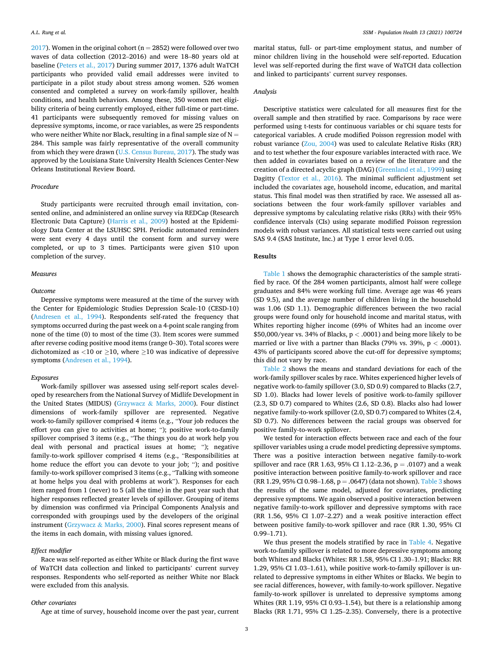$2017$ ). Women in the original cohort (n = 2852) were followed over two waves of data collection (2012–2016) and were 18–80 years old at baseline ([Peters et al., 2017\)](#page-6-0) During summer 2017, 1376 adult WaTCH participants who provided valid email addresses were invited to participate in a pilot study about stress among women. 526 women consented and completed a survey on work-family spillover, health conditions, and health behaviors. Among these, 350 women met eligibility criteria of being currently employed, either full-time or part-time. 41 participants were subsequently removed for missing values on depressive symptoms, income, or race variables, as were 25 respondents who were neither White nor Black, resulting in a final sample size of  $N =$ 284. This sample was fairly representative of the overall community from which they were drawn [\(U.S. Census Bureau, 2017](#page-7-0)). The study was approved by the Louisiana State University Health Sciences Center-New Orleans Institutional Review Board.

## *Procedure*

Study participants were recruited through email invitation, consented online, and administered an online survey via REDCap (Research Electronic Data Capture) ([Harris et al., 2009\)](#page-6-0) hosted at the Epidemiology Data Center at the LSUHSC SPH. Periodic automated reminders were sent every 4 days until the consent form and survey were completed, or up to 3 times. Participants were given \$10 upon completion of the survey.

## *Measures*

#### *Outcome*

Depressive symptoms were measured at the time of the survey with the Center for Epidemiologic Studies Depression Scale-10 (CESD-10) ([Andresen et al., 1994\)](#page-6-0). Respondents self-rated the frequency that symptoms occurred during the past week on a 4-point scale ranging from none of the time (0) to most of the time (3). Item scores were summed after reverse coding positive mood items (range 0–30). Total scores were dichotomized as  $\langle 10 \text{ or } \rangle 210$ , where  $\langle 210 \text{ was indicative of depressive} \rangle$ symptoms ([Andresen et al., 1994](#page-6-0)).

#### *Exposures*

Work-family spillover was assessed using self-report scales developed by researchers from the National Survey of Midlife Development in the United States (MIDUS) (Grzywacz & [Marks, 2000](#page-6-0)). Four distinct dimensions of work-family spillover are represented. Negative work-to-family spillover comprised 4 items (e.g., "Your job reduces the effort you can give to activities at home; "); positive work-to-family spillover comprised 3 items (e.g., "The things you do at work help you deal with personal and practical issues at home; "); negative family-to-work spillover comprised 4 items (e.g., "Responsibilities at home reduce the effort you can devote to your job; "); and positive family-to-work spillover comprised 3 items (e.g., "Talking with someone at home helps you deal with problems at work"). Responses for each item ranged from 1 (never) to 5 (all the time) in the past year such that higher responses reflected greater levels of spillover. Grouping of items by dimension was confirmed via Principal Components Analysis and corresponded with groupings used by the developers of the original instrument (Grzywacz & [Marks, 2000\)](#page-6-0). Final scores represent means of the items in each domain, with missing values ignored.

#### *Effect modifier*

Race was self-reported as either White or Black during the first wave of WaTCH data collection and linked to participants' current survey responses. Respondents who self-reported as neither White nor Black were excluded from this analysis.

## *Other covariates*

Age at time of survey, household income over the past year, current

marital status, full- or part-time employment status, and number of minor children living in the household were self-reported. Education level was self-reported during the first wave of WaTCH data collection and linked to participants' current survey responses.

## *Analysis*

Descriptive statistics were calculated for all measures first for the overall sample and then stratified by race. Comparisons by race were performed using t-tests for continuous variables or chi square tests for categorical variables. A crude modified Poisson regression model with robust variance [\(Zou, 2004\)](#page-7-0) was used to calculate Relative Risks (RR) and to test whether the four exposure variables interacted with race. We then added in covariates based on a review of the literature and the creation of a directed acyclic graph (DAG) [\(Greenland et al., 1999](#page-6-0)) using Dagitty [\(Textor et al., 2016](#page-7-0)). The minimal sufficient adjustment set included the covariates age, household income, education, and marital status. This final model was then stratified by race. We assessed all associations between the four work-family spillover variables and depressive symptoms by calculating relative risks (RRs) with their 95% confidence intervals (CIs) using separate modified Poisson regression models with robust variances. All statistical tests were carried out using SAS 9.4 (SAS Institute, Inc.) at Type 1 error level 0.05.

### **Results**

[Table 1](#page-3-0) shows the demographic characteristics of the sample stratified by race. Of the 284 women participants, almost half were college graduates and 84% were working full time. Average age was 46 years (SD 9.5), and the average number of children living in the household was 1.06 (SD 1.1). Demographic differences between the two racial groups were found only for household income and marital status, with Whites reporting higher income (69% of Whites had an income over \$50,000/year vs. 34% of Blacks, p *<* .0001) and being more likely to be married or live with a partner than Blacks (79% vs. 39%, p *<* .0001). 43% of participants scored above the cut-off for depressive symptoms; this did not vary by race.

[Table 2](#page-3-0) shows the means and standard deviations for each of the work-family spillover scales by race. Whites experienced higher levels of negative work-to-family spillover (3.0, SD 0.9) compared to Blacks (2.7, SD 1.0). Blacks had lower levels of positive work-to-family spillover (2.3, SD 0.7) compared to Whites (2.6, SD 0.8). Blacks also had lower negative family-to-work spillover (2.0, SD 0.7) compared to Whites (2.4, SD 0.7). No differences between the racial groups was observed for positive family-to-work spillover.

We tested for interaction effects between race and each of the four spillover variables using a crude model predicting depressive symptoms. There was a positive interaction between negative family-to-work spillover and race (RR 1.63, 95% CI 1.12–2.36,  $p = .0107$ ) and a weak positive interaction between positive family-to-work spillover and race (RR 1.29, 95% CI 0.98–1.68,  $p = .0647$ ) (data not shown). [Table 3](#page-3-0) shows the results of the same model, adjusted for covariates, predicting depressive symptoms. We again observed a positive interaction between negative family-to-work spillover and depressive symptoms with race (RR 1.56, 95% CI 1.07–2.27) and a weak positive interaction effect between positive family-to-work spillover and race (RR 1.30, 95% CI 0.99–1.71).

We thus present the models stratified by race in [Table 4](#page-3-0). Negative work-to-family spillover is related to more depressive symptoms among both Whites and Blacks (Whites: RR 1.58, 95% CI 1.30–1.91; Blacks: RR 1.29, 95% CI 1.03–1.61), while positive work-to-family spillover is unrelated to depressive symptoms in either Whites or Blacks. We begin to see racial differences, however, with family-to-work spillover. Negative family-to-work spillover is unrelated to depressive symptoms among Whites (RR 1.19, 95% CI 0.93–1.54), but there is a relationship among Blacks (RR 1.71, 95% CI 1.25–2.35). Conversely, there is a protective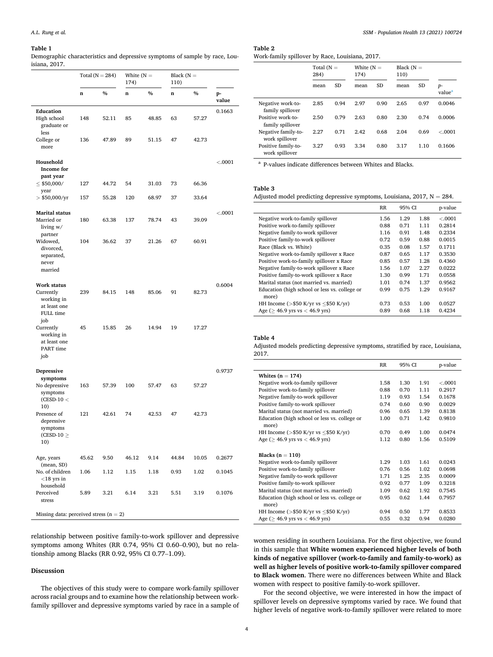#### <span id="page-3-0"></span>**Table 1**

Demographic characteristics and depressive symptoms of sample by race, Louisiana, 2017.

|                                                                            | Total $(N = 284)$ |       | White $(N =$<br>174) |       | Black $(N =$<br>110) |       |             |  |
|----------------------------------------------------------------------------|-------------------|-------|----------------------|-------|----------------------|-------|-------------|--|
|                                                                            | n                 | $\%$  | n                    | $\%$  | n                    | $\%$  | p-<br>value |  |
| Education<br>High school<br>graduate or<br>less                            | 148               | 52.11 | 85                   | 48.85 | 63                   | 57.27 | 0.1663      |  |
| College or<br>more                                                         | 136               | 47.89 | 89                   | 51.15 | 47                   | 42.73 |             |  |
| Household<br>Income for                                                    |                   |       |                      |       |                      |       | < .0001     |  |
| past year<br>$\leq$ \$50,000/                                              | 127               | 44.72 | 54                   | 31.03 | 73                   | 66.36 |             |  |
| year<br>$>$ \$50,000/yr                                                    | 157               | 55.28 | 120                  | 68.97 | 37                   | 33.64 |             |  |
| <b>Marital status</b><br>Married or<br>living w/                           | 180               | 63.38 | 137                  | 78.74 | 43                   | 39.09 | < .0001     |  |
| partner<br>Widowed,<br>divorced,<br>separated,<br>never<br>married         | 104               | 36.62 | 37                   | 21.26 | 67                   | 60.91 |             |  |
| Work status<br>Currently<br>working in<br>at least one<br>FULL time<br>job | 239               | 84.15 | 148                  | 85.06 | 91                   | 82.73 | 0.6004      |  |
| Currently<br>working in<br>at least one<br>PART time<br>job                | 45                | 15.85 | 26                   | 14.94 | 19                   | 17.27 |             |  |
| Depressive<br>symptoms                                                     |                   |       |                      |       |                      |       | 0.9737      |  |
| No depressive<br>symptoms<br>$(CESD-10<$                                   | 163               | 57.39 | 100                  | 57.47 | 63                   | 57.27 |             |  |
| 10)<br>Presence of<br>depressive<br>symptoms<br>$(CESD-10 \geq$<br>10)     | 121               | 42.61 | 74                   | 42.53 | 47                   | 42.73 |             |  |
| Age, years                                                                 | 45.62             | 9.50  | 46.12                | 9.14  | 44.84                | 10.05 | 0.2677      |  |
| (mean, SD)<br>No. of children<br>$<$ 18 yrs in<br>household                | 1.06              | 1.12  | 1.15                 | 1.18  | 0.93                 | 1.02  | 0.1045      |  |
| Perceived<br>stress                                                        | 5.89              | 3.21  | 6.14                 | 3.21  | 5.51                 | 3.19  | 0.1076      |  |
| Missing data: perceived stress $(n = 2)$                                   |                   |       |                      |       |                      |       |             |  |

relationship between positive family-to-work spillover and depressive symptoms among Whites (RR 0.74, 95% CI 0.60–0.90), but no relationship among Blacks (RR 0.92, 95% CI 0.77–1.09).

#### **Discussion**

The objectives of this study were to compare work-family spillover across racial groups and to examine how the relationship between workfamily spillover and depressive symptoms varied by race in a sample of

## **Table 2**  Work-family spillover by Race, Louisiana, 2017.

|                                                                                | Total $(N =$<br>284) |           | White $(N =$<br>174) |           | Black $(N =$<br>110) |           |                            |
|--------------------------------------------------------------------------------|----------------------|-----------|----------------------|-----------|----------------------|-----------|----------------------------|
|                                                                                | mean                 | <b>SD</b> | mean                 | <b>SD</b> | mean                 | <b>SD</b> | $p-$<br>value <sup>a</sup> |
| Negative work-to-<br>family spillover<br>Positive work-to-<br>family spillover | 2.85                 | 0.94      | 2.97                 | 0.90      | 2.65                 | 0.97      | 0.0046                     |
|                                                                                | 2.50                 | 0.79      | 2.63                 | 0.80      | 2.30                 | 0.74      | 0.0006                     |
| Negative family-to-<br>work spillover                                          | 2.27                 | 0.71      | 2.42                 | 0.68      | 2.04                 | 0.69      | < 0.001                    |
| Positive family-to-<br>work spillover                                          | 3.27                 | 0.93      | 3.34                 | 0.80      | 3.17                 | 1.10      | 0.1606                     |

<sup>a</sup> P-values indicate differences between Whites and Blacks.

## **Table 3**

Adjusted model predicting depressive symptoms, Louisiana, 2017,  $N = 284$ .

|                                                        | RR   | 95% CI |      | p-value |
|--------------------------------------------------------|------|--------|------|---------|
| Negative work-to-family spillover                      | 1.56 | 1.29   | 1.88 | < .0001 |
| Positive work-to-family spillover                      | 0.88 | 0.71   | 1.11 | 0.2814  |
| Negative family-to-work spillover                      | 1.16 | 0.91   | 1.48 | 0.2334  |
| Positive family-to-work spillover                      | 0.72 | 0.59   | 0.88 | 0.0015  |
| Race (Black vs. White)                                 | 0.35 | 0.08   | 1.57 | 0.1711  |
| Negative work-to-family spillover x Race               | 0.87 | 0.65   | 1.17 | 0.3530  |
| Positive work-to-family spillover x Race               | 0.85 | 0.57   | 1.28 | 0.4360  |
| Negative family-to-work spillover x Race               | 1.56 | 1.07   | 2.27 | 0.0222  |
| Positive family-to-work spillover x Race               | 1.30 | 0.99   | 1.71 | 0.0558  |
| Marital status (not married vs. married)               | 1.01 | 0.74   | 1.37 | 0.9562  |
| Education (high school or less vs. college or<br>more) | 0.99 | 0.75   | 1.29 | 0.9167  |
| HH Income ( $>$ \$50 K/yr vs $<$ \$50 K/yr)            | 0.73 | 0.53   | 1.00 | 0.0527  |
| Age ( $> 46.9$ yrs vs $< 46.9$ yrs)                    | 0.89 | 0.68   | 1.18 | 0.4234  |

## **Table 4**

Adjusted models predicting depressive symptoms, stratified by race, Louisiana, 2017.

|                                                        | $_{RR}$ | 95% CI |      | p-value |  |
|--------------------------------------------------------|---------|--------|------|---------|--|
| Whites $(n = 174)$                                     |         |        |      |         |  |
| Negative work-to-family spillover                      | 1.58    | 1.30   | 1.91 | < .0001 |  |
| Positive work-to-family spillover                      | 0.88    | 0.70   | 1.11 | 0.2917  |  |
| Negative family-to-work spillover                      | 1.19    | 0.93   | 1.54 | 0.1678  |  |
| Positive family-to-work spillover                      | 0.74    | 0.60   | 0.90 | 0.0029  |  |
| Marital status (not married vs. married)               | 0.96    | 0.65   | 1.39 | 0.8138  |  |
| Education (high school or less vs. college or<br>more) | 1.00    | 0.71   | 1.42 | 0.9810  |  |
| HH Income (>\$50 K/yr vs $\le$ \$50 K/yr)              | 0.70    | 0.49   | 1.00 | 0.0474  |  |
| Age ( $\geq$ 46.9 yrs vs < 46.9 yrs)                   | 1.12    | 0.80   | 1.56 | 0.5109  |  |
| Blacks $(n = 110)$                                     |         |        |      |         |  |
| Negative work-to-family spillover                      | 1.29    | 1.03   | 1.61 | 0.0243  |  |
| Positive work-to-family spillover                      | 0.76    | 0.56   | 1.02 | 0.0698  |  |
| Negative family-to-work spillover                      | 1.71    | 1.25   | 2.35 | 0.0009  |  |
| Positive family-to-work spillover                      | 0.92    | 0.77   | 1.09 | 0.3218  |  |
| Marital status (not married vs. married)               | 1.09    | 0.62   | 1.92 | 0.7545  |  |
| Education (high school or less vs. college or<br>more) | 0.95    | 0.62   | 1.44 | 0.7957  |  |
| HH Income (>\$50 K/yr vs $\le$ \$50 K/yr)              | 0.94    | 0.50   | 1.77 | 0.8533  |  |
| Age ( $> 46.9$ yrs vs $< 46.9$ yrs)                    | 0.55    | 0.32   | 0.94 | 0.0280  |  |

women residing in southern Louisiana. For the first objective, we found in this sample that **White women experienced higher levels of both kinds of negative spillover (work-to-family and family-to-work) as well as higher levels of positive work-to-family spillover compared to Black women**. There were no differences between White and Black women with respect to positive family-to-work spillover.

For the second objective, we were interested in how the impact of spillover levels on depressive symptoms varied by race. We found that higher levels of negative work-to-family spillover were related to more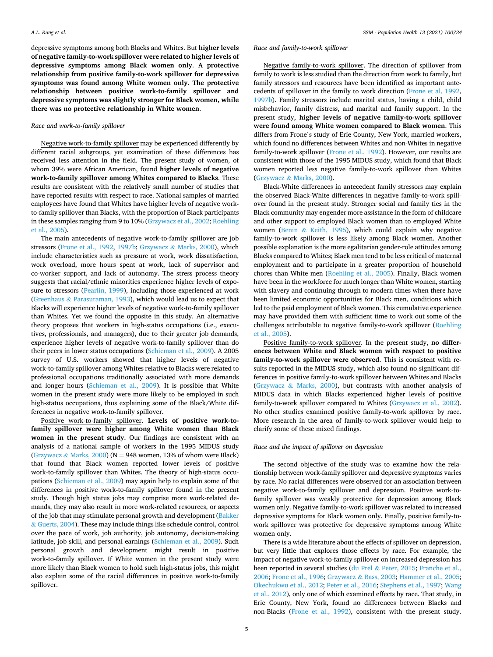depressive symptoms among both Blacks and Whites. But **higher levels of negative family-to-work spillover were related to higher levels of depressive symptoms among Black women only**. **A protective relationship from positive family-to-work spillover for depressive symptoms was found among White women only**. **The protective relationship between positive work-to-family spillover and depressive symptoms was slightly stronger for Black women, while there was no protective relationship in White women**.

## *Race and work-to-family spillover*

Negative work-to-family spillover may be experienced differently by different racial subgroups, yet examination of these differences has received less attention in the field. The present study of women, of whom 39% were African American, found **higher levels of negative work-to-family spillover among Whites compared to Blacks**. These results are consistent with the relatively small number of studies that have reported results with respect to race. National samples of married employees have found that Whites have higher levels of negative workto-family spillover than Blacks, with the proportion of Black participants in these samples ranging from 9 to 10% [\(Grzywacz et al., 2002](#page-6-0); [Roehling](#page-6-0)  [et al., 2005\)](#page-6-0).

The main antecedents of negative work-to-family spillover are job stressors [\(Frone et al., 1992,](#page-6-0) [1997b](#page-6-0); Grzywacz & [Marks, 2000](#page-6-0)), which include characteristics such as pressure at work, work dissatisfaction, work overload, more hours spent at work, lack of supervisor and co-worker support, and lack of autonomy. The stress process theory suggests that racial/ethnic minorities experience higher levels of exposure to stressors [\(Pearlin, 1999](#page-6-0)), including those experienced at work (Greenhaus & [Parasuraman, 1993](#page-6-0)), which would lead us to expect that Blacks will experience higher levels of negative work-to-family spillover than Whites. Yet we found the opposite in this study. An alternative theory proposes that workers in high-status occupations (i.e., executives, professionals, and managers), due to their greater job demands, experience higher levels of negative work-to-family spillover than do their peers in lower status occupations ([Schieman et al., 2009\)](#page-6-0). A 2005 survey of U.S. workers showed that higher levels of negative work-to-family spillover among Whites relative to Blacks were related to professional occupations traditionally associated with more demands and longer hours ([Schieman et al., 2009](#page-6-0)). It is possible that White women in the present study were more likely to be employed in such high-status occupations, thus explaining some of the Black/White differences in negative work-to-family spillover.

Positive work-to-family spillover. **Levels of positive work-tofamily spillover were higher among White women than Black women in the present study**. Our findings are consistent with an analysis of a national sample of workers in the 1995 MIDUS study (Grzywacz & [Marks, 2000](#page-6-0)) ( $N = 948$  women, 13% of whom were Black) that found that Black women reported lower levels of positive work-to-family spillover than Whites. The theory of high-status occupations ([Schieman et al., 2009](#page-6-0)) may again help to explain some of the differences in positive work-to-family spillover found in the present study. Though high status jobs may comprise more work-related demands, they may also result in more work-related resources, or aspects of the job that may stimulate personal growth and development [\(Bakker](#page-6-0)  & [Guerts, 2004](#page-6-0)). These may include things like schedule control, control over the pace of work, job authority, job autonomy, decision-making latitude, job skill, and personal earnings [\(Schieman et al., 2009\)](#page-6-0). Such personal growth and development might result in positive work-to-family spillover. If White women in the present study were more likely than Black women to hold such high-status jobs, this might also explain some of the racial differences in positive work-to-family spillover.

## *Race and family-to-work spillover*

Negative family-to-work spillover. The direction of spillover from family to work is less studied than the direction from work to family, but family stressors and resources have been identified as important antecedents of spillover in the family to work direction [\(Frone et al, 1992](#page-6-0), [1997b\)](#page-6-0). Family stressors include marital status, having a child, child misbehavior, family distress, and marital and family support. In the present study, **higher levels of negative family-to-work spillover were found among White women compared to Black women**. This differs from Frone's study of Erie County, New York, married workers, which found no differences between Whites and non-Whites in negative family-to-work spillover ([Frone et al., 1992\)](#page-6-0). However, our results are consistent with those of the 1995 MIDUS study, which found that Black women reported less negative family-to-work spillover than Whites (Grzywacz & [Marks, 2000\)](#page-6-0).

Black-White differences in antecedent family stressors may explain the observed Black-White differences in negative family-to-work spillover found in the present study. Stronger social and family ties in the Black community may engender more assistance in the form of childcare and other support to employed Black women than to employed White women (Benin & [Keith, 1995](#page-6-0)), which could explain why negative family-to-work spillover is less likely among Black women. Another possible explanation is the more egalitarian gender-role attitudes among Blacks compared to Whites; Black men tend to be less critical of maternal employment and to participate in a greater proportion of household chores than White men [\(Roehling et al., 2005](#page-6-0)). Finally, Black women have been in the workforce for much longer than White women, starting with slavery and continuing through to modern times when there have been limited economic opportunities for Black men, conditions which led to the paid employment of Black women. This cumulative experience may have provided them with sufficient time to work out some of the challenges attributable to negative family-to-work spillover [\(Roehling](#page-6-0)  [et al., 2005\)](#page-6-0).

Positive family-to-work spillover. In the present study, **no differences between White and Black women with respect to positive family-to-work spillover were observed**. This is consistent with results reported in the MIDUS study, which also found no significant differences in positive family-to-work spillover between Whites and Blacks (Grzywacz & [Marks, 2000\)](#page-6-0), but contrasts with another analysis of MIDUS data in which Blacks experienced higher levels of positive family-to-work spillover compared to Whites ([Grzywacz et al., 2002](#page-6-0)). No other studies examined positive family-to-work spillover by race. More research in the area of family-to-work spillover would help to clarify some of these mixed findings.

## *Race and the impact of spillover on depression*

The second objective of the study was to examine how the relationship between work-family spillover and depressive symptoms varies by race. No racial differences were observed for an association between negative work-to-family spillover and depression. Positive work-tofamily spillover was weakly protective for depression among Black women only. Negative family-to-work spillover was related to increased depressive symptoms for Black women only. Finally, positive family-towork spillover was protective for depressive symptoms among White women only.

There is a wide literature about the effects of spillover on depression, but very little that explores those effects by race. For example, the impact of negative work-to-family spillover on increased depression has been reported in several studies (du Prel & [Peter, 2015](#page-6-0); [Franche et al.,](#page-6-0)  [2006; Frone et al., 1996](#page-6-0); Grzywacz & [Bass, 2003](#page-6-0); [Hammer et al., 2005](#page-6-0); [Okechukwu et al., 2012; Peter et al., 2016](#page-6-0); [Stephens et al., 1997](#page-6-0); [Wang](#page-7-0)  [et al., 2012](#page-7-0)), only one of which examined effects by race. That study, in Erie County, New York, found no differences between Blacks and non-Blacks [\(Frone et al., 1992](#page-6-0)), consistent with the present study.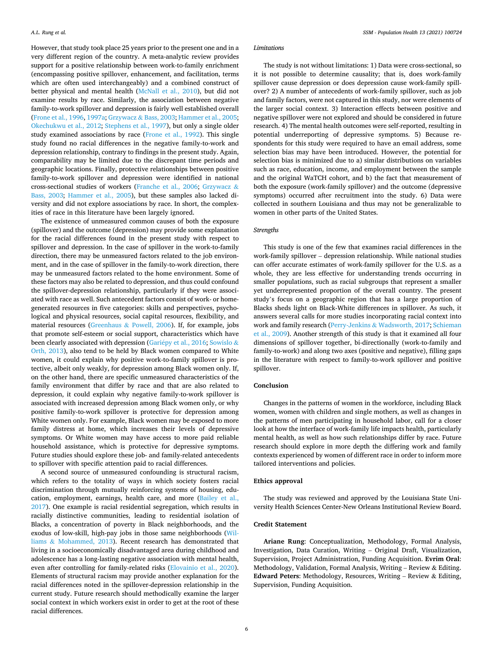However, that study took place 25 years prior to the present one and in a very different region of the country. A meta-analytic review provides support for a positive relationship between work-to-family enrichment (encompassing positive spillover, enhancement, and facilitation, terms which are often used interchangeably) and a combined construct of better physical and mental health [\(McNall et al., 2010](#page-6-0)), but did not examine results by race. Similarly, the association between negative family-to-work spillover and depression is fairly well established overall ([Frone et al., 1996](#page-6-0), [1997a](#page-6-0); Grzywacz & [Bass, 2003; Hammer et al., 2005](#page-6-0); [Okechukwu et al., 2012](#page-6-0); [Stephens et al., 1997](#page-6-0)), but only a single older study examined associations by race ([Frone et al., 1992](#page-6-0)). This single study found no racial differences in the negative family-to-work and depression relationship, contrary to findings in the present study. Again, comparability may be limited due to the discrepant time periods and geographic locations. Finally, protective relationships between positive family-to-work spillover and depression were identified in national cross-sectional studies of workers [\(Franche et al., 2006](#page-6-0); [Grzywacz](#page-6-0) & [Bass, 2003](#page-6-0); [Hammer et al., 2005\)](#page-6-0), but these samples also lacked diversity and did not explore associations by race. In short, the complexities of race in this literature have been largely ignored.

The existence of unmeasured common causes of both the exposure (spillover) and the outcome (depression) may provide some explanation for the racial differences found in the present study with respect to spillover and depression. In the case of spillover in the work-to-family direction, there may be unmeasured factors related to the job environment, and in the case of spillover in the family-to-work direction, there may be unmeasured factors related to the home environment. Some of these factors may also be related to depression, and thus could confound the spillover-depression relationship, particularly if they were associated with race as well. Such antecedent factors consist of work- or homegenerated resources in five categories: skills and perspectives, psychological and physical resources, social capital resources, flexibility, and material resources (Greenhaus & [Powell, 2006\)](#page-6-0). If, for example, jobs that promote self-esteem or social support, characteristics which have been clearly associated with depression (Gariépy et al., 2016; [Sowislo](#page-6-0)  $\&$ [Orth, 2013\)](#page-6-0), also tend to be held by Black women compared to White women, it could explain why positive work-to-family spillover is protective, albeit only weakly, for depression among Black women only. If, on the other hand, there are specific unmeasured characteristics of the family environment that differ by race and that are also related to depression, it could explain why negative family-to-work spillover is associated with increased depression among Black women only, or why positive family-to-work spillover is protective for depression among White women only. For example, Black women may be exposed to more family distress at home, which increases their levels of depressive symptoms. Or White women may have access to more paid reliable household assistance, which is protective for depressive symptoms. Future studies should explore these job- and family-related antecedents to spillover with specific attention paid to racial differences.

A second source of unmeasured confounding is structural racism, which refers to the totality of ways in which society fosters racial discrimination through mutually reinforcing systems of housing, education, employment, earnings, health care, and more [\(Bailey et al.,](#page-6-0)  [2017\)](#page-6-0). One example is racial residential segregation, which results in racially distinctive communities, leading to residential isolation of Blacks, a concentration of poverty in Black neighborhoods, and the exodus of low-skill, high-pay jobs in those same neighborhoods ([Wil](#page-7-0)liams & [Mohammed, 2013](#page-7-0)). Recent research has demonstrated that living in a socioeconomically disadvantaged area during childhood and adolescence has a long-lasting negative association with mental health, even after controlling for family-related risks ([Elovainio et al., 2020](#page-6-0)). Elements of structural racism may provide another explanation for the racial differences noted in the spillover-depression relationship in the current study. Future research should methodically examine the larger social context in which workers exist in order to get at the root of these racial differences.

#### *Limitations*

The study is not without limitations: 1) Data were cross-sectional, so it is not possible to determine causality; that is, does work-family spillover cause depression or does depression cause work-family spillover? 2) A number of antecedents of work-family spillover, such as job and family factors, were not captured in this study, nor were elements of the larger social context. 3) Interaction effects between positive and negative spillover were not explored and should be considered in future research. 4) The mental health outcomes were self-reported, resulting in potential underreporting of depressive symptoms. 5) Because respondents for this study were required to have an email address, some selection bias may have been introduced. However, the potential for selection bias is minimized due to a) similar distributions on variables such as race, education, income, and employment between the sample and the original WaTCH cohort, and b) the fact that measurement of both the exposure (work-family spillover) and the outcome (depressive symptoms) occurred after recruitment into the study. 6) Data were collected in southern Louisiana and thus may not be generalizable to women in other parts of the United States.

#### *Strengths*

This study is one of the few that examines racial differences in the work-family spillover – depression relationship. While national studies can offer accurate estimates of work-family spillover for the U.S. as a whole, they are less effective for understanding trends occurring in smaller populations, such as racial subgroups that represent a smaller yet underrepresented proportion of the overall country. The present study's focus on a geographic region that has a large proportion of Blacks sheds light on Black-White differences in spillover. As such, it answers several calls for more studies incorporating racial context into work and family research (Perry-Jenkins & [Wadsworth, 2017; Schieman](#page-6-0)  [et al., 2009\)](#page-6-0). Another strength of this study is that it examined all four dimensions of spillover together, bi-directionally (work-to-family and family-to-work) and along two axes (positive and negative), filling gaps in the literature with respect to family-to-work spillover and positive spillover.

## **Conclusion**

Changes in the patterns of women in the workforce, including Black women, women with children and single mothers, as well as changes in the patterns of men participating in household labor, call for a closer look at how the interface of work-family life impacts health, particularly mental health, as well as how such relationships differ by race. Future research should explore in more depth the differing work and family contexts experienced by women of different race in order to inform more tailored interventions and policies.

#### **Ethics approval**

The study was reviewed and approved by the Louisiana State University Health Sciences Center-New Orleans Institutional Review Board.

## **Credit Statement**

**Ariane Rung**: Conceptualization, Methodology, Formal Analysis, Investigation, Data Curation, Writing – Original Draft, Visualization, Supervision, Project Administration, Funding Acquisition. **Evrim Oral**: Methodology, Validation, Formal Analysis, Writing – Review & Editing. **Edward Peters**: Methodology, Resources, Writing – Review & Editing, Supervision, Funding Acquisition.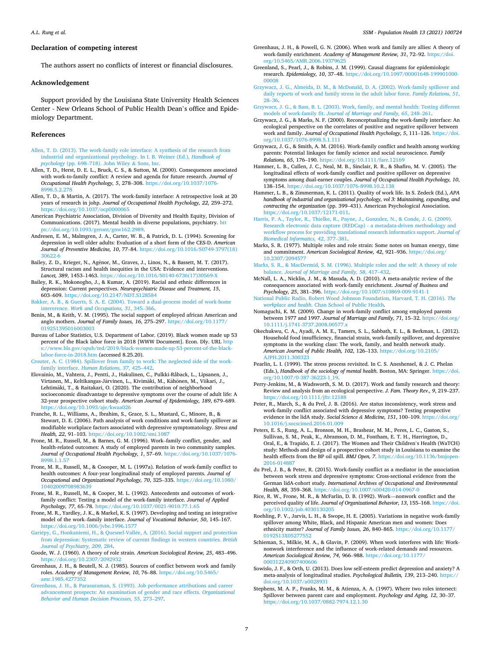#### <span id="page-6-0"></span>**Declaration of competing interest**

The authors assert no conflicts of interest or financial disclosures.

#### **Acknowledgement**

Support provided by the Louisiana State University Health Sciences Center - New Orleans School of Public Health Dean's office and Epidemiology Department.

#### **References**

- [Allen, T. D. \(2013\). The work-family role interface: A synthesis of the research from](http://refhub.elsevier.com/S2352-8273(20)30361-X/sref1) [industrial and organizational psychology. In I. B. Weiner \(Ed.\),](http://refhub.elsevier.com/S2352-8273(20)30361-X/sref1) *Handbook of psychology* (pp. 698–[718\). John Wiley](http://refhub.elsevier.com/S2352-8273(20)30361-X/sref1) & Sons, Inc.
- Allen, T. D., Herst, D. E. L., Bruck, C. S., & Sutton, M. (2000). Consequences associated with work-to-family conflict: A review and agenda for future research. *Journal of Occupational Health Psychology, 5*, 278–308. [https://doi.org/10.1037/1076-](https://doi.org/10.1037/1076-8998.5.2.278) [8998.5.2.278](https://doi.org/10.1037/1076-8998.5.2.278)
- Allen, T. D., & Martin, A. (2017). The work-family interface: A retrospective look at 20 years of research in johp. *Journal of Occupational Health Psychology, 22*, 259–272. <https://doi.org/10.1037/ocp0000065>
- American Psychiatric Association, Division of Diversity and Health Equity, Division of Communications. (2017). Mental health in diverse populations, psychiatry. [htt](https://doi.org/10.1093/geront/gnw162.2989)  [ps://doi.org/10.1093/geront/gnw162.2989.](https://doi.org/10.1093/geront/gnw162.2989)
- Andresen, E. M., Malmgren, J. A., Carter, W. B., & Patrick, D. L. (1994). Screening for depression in well older adults: Evaluation of a short form of the CES-D. *American Journal of Preventive Medicine, 10*, 77–84. [https://doi.org/10.1016/S0749-3797\(18\)](https://doi.org/10.1016/S0749-3797(18)30622-6)  [30622-6](https://doi.org/10.1016/S0749-3797(18)30622-6)
- Bailey, Z. D., Krieger, N., Agénor, M., Graves, J., Linos, N., & Bassett, M. T. (2017). Structural racism and health inequities in the USA: Evidence and interventions. Lancet, 389, 1453-1463. [https://doi.org/10.1016/S0140-6736\(17\)30569-X](https://doi.org/10.1016/S0140-6736(17)30569-X)
- Bailey, R. K., Mokonogho, J., & Kumar, A. (2019). Racial and ethnic differences in depression: Current perspectives. *Neuropsychiatric Disease and Treatment, 15*, 603–609. <https://doi.org/10.2147/NDT.S128584>
- [Bakker, A. B., & Guerts, S. A. E. \(2004\). Toward a dual-process model of work-home](http://refhub.elsevier.com/S2352-8273(20)30361-X/sref8) intererence. *[Work and Occupations, 31](http://refhub.elsevier.com/S2352-8273(20)30361-X/sref8)*, 345–366.
- Benin, M., & Keith, V. M. (1995). The social support of employed african American and anglo mothers. *Journal of Family Issues, 16*, 275–297. [https://doi.org/10.1177/](https://doi.org/10.1177/019251395016003003)  [019251395016003003](https://doi.org/10.1177/019251395016003003)
- Bureau of Labor Statistics, U.S. Department of Labor. (2019). Black women made up 53 percent of the Black labor force in 2018 [WWW Document]. Econ. Dly. URL [http](https://www.bls.gov/opub/ted/2019/black-women-made-up-53-percent-of-the-black-labor-force-in-2018.htm) [s://www.bls.gov/opub/ted/2019/black-women-made-up-53-percent-of-the-black](https://www.bls.gov/opub/ted/2019/black-women-made-up-53-percent-of-the-black-labor-force-in-2018.htm)[labor-force-in-2018.htm](https://www.bls.gov/opub/ted/2019/black-women-made-up-53-percent-of-the-black-labor-force-in-2018.htm) (accessed 8.25.20).
- [Crouter, A. C. \(1984\). Spillover from family to work: The neglected side of the work](http://refhub.elsevier.com/S2352-8273(20)30361-X/sref11)family interface. *[Human Relations, 37](http://refhub.elsevier.com/S2352-8273(20)30361-X/sref11)*, 425–442.
- Elovainio, M., Vahtera, J., Pentti, J., Hakulinen, C., Pulkki-Råback, L., Lipsanen, J., Virtanen, M., Keltikangas-Järvinen, L., Kivimäki, M., Kähönen, M., Viikari, J., Lehtimäki, T., & Raitakari, O. (2020). The contribution of neighborhood socioeconomic disadvantage to depressive symptoms over the course of adult life: A 32-year prospective cohort study. *American Journal of Epidemiology, 189*, 679–689. <https://doi.org/10.1093/aje/kwaa026>
- Franche, R. L., Williams, A., Ibrahim, S., Grace, S. L., Mustard, C., Minore, B., & Stewart, D. E. (2006). Path analysis of work conditions and work-family spillover as modifiable workplace factors associated with depressive symptomatology. *Stress and Health, 22*, 91–103. <https://doi.org/10.1002/smi.1087>
- Frone, M. R., Russell, M., & Barnes, G. M. (1996). Work–family conflict, gender, and health-related outcomes: A study of employed parents in two community samples. *Journal of Occupational Health Psychology, 1*, 57–69. [https://doi.org/10.1037/1076-](https://doi.org/10.1037/1076-8998.1.1.57)  [8998.1.1.57](https://doi.org/10.1037/1076-8998.1.1.57)
- Frone, M. R., Russell, M., & Coooper, M. L. (1997a). Relation of work-family conflict to health outcomes: A four-year longitudinal study of employed parents. *Journal of Occupational and Organizational Psychology, 70*, 325–335. [https://doi.org/10.1080/](https://doi.org/10.1080/10402009708983639) [10402009708983639](https://doi.org/10.1080/10402009708983639)
- Frone, M. R., Russell, M., & Cooper, M. L. (1992). Antecedents and outcomes of workfamily conflict: Testing a model of the work-family interface. *Journal of Applied Psychology, 77*, 65–78.<https://doi.org/10.1037/0021-9010.77.1.65>
- Frone, M. R., Yardley, J. K., & Markel, K. S. (1997). Developing and testing an integrative model of the work–family interface. *Journal of Vocational Behavior, 50*, 145–167. <https://doi.org/10.1006/jvbe.1996.1577>
- Gariépy, G., Honkaniemi, H., & Quesnel-Vallée, A. (2016). Social support and protection [from depression: Systematic review of current findings in western countries.](http://refhub.elsevier.com/S2352-8273(20)30361-X/sref18) *British [Journal of Psychiatry, 209](http://refhub.elsevier.com/S2352-8273(20)30361-X/sref18)*, 284.
- Goode, W. J. (1960). A theory of role strain. *American Sociological Review, 25*, 483–496. <https://doi.org/10.2307/2092932>
- Greenhaus, J. H., & Beutell, N. J. (1985). Sources of conflict between work and family roles. *Academy of Management Review, 10*, 76–88. [https://doi.org/10.5465/](https://doi.org/10.5465/amr.1985.4277352) [amr.1985.4277352](https://doi.org/10.5465/amr.1985.4277352)
- [Greenhaus, J. H., & Parasuraman, S. \(1993\). Job performance attributions and career](http://refhub.elsevier.com/S2352-8273(20)30361-X/sref21) [advancement prospects: An examination of gender and race effects.](http://refhub.elsevier.com/S2352-8273(20)30361-X/sref21) *Organizational [Behavior and Human Decision Processes, 55](http://refhub.elsevier.com/S2352-8273(20)30361-X/sref21)*, 273–297.
- Greenhaus, J. H., & Powell, G. N. (2006). When work and family are allies: A theory of work-family enrichment. *Academy of Management Review, 31*, 72–92. [https://doi.](https://doi.org/10.5465/AMR.2006.19379625) [org/10.5465/AMR.2006.19379625](https://doi.org/10.5465/AMR.2006.19379625)
- Greenland, S., Pearl, J., & Robins, J. M. (1999). Causal diagrams for epidemiologic research. *Epidemiology, 10*, 37–48. [https://doi.org/10.1097/00001648-199901000-](https://doi.org/10.1097/00001648-199901000-00008)  [00008](https://doi.org/10.1097/00001648-199901000-00008)
- [Grzywacz, J. G., Almeida, D. M., & McDonald, D. A. \(2002\). Work-family spillover and](http://refhub.elsevier.com/S2352-8273(20)30361-X/sref24) [daily reports of work and family stress in the adult labor force.](http://refhub.elsevier.com/S2352-8273(20)30361-X/sref24) *Family Relations, 51*,

28–[36](http://refhub.elsevier.com/S2352-8273(20)30361-X/sref24). [Grzywacz, J. G., & Bass, B. L. \(2003\). Work, family, and mental health: Testing different](http://refhub.elsevier.com/S2352-8273(20)30361-X/sref25)  models of work-family fit. *[Journal of Marriage and Family, 65](http://refhub.elsevier.com/S2352-8273(20)30361-X/sref25)*, 248–261.

- Grzywacz, J. G., & Marks, N. F. (2000). Reconceptualizing the work-family interface: An ecological perspective on the correlates of positive and negative spillover between work and family. *Journal of Occupational Health Psychology, 5*, 111–126. [https://doi.](https://doi.org/10.1037/1076-8998.5.1.111)  [org/10.1037/1076-8998.5.1.111](https://doi.org/10.1037/1076-8998.5.1.111)
- Grzywacz, J. G., & Smith, A. M. (2016). Work-family conflict and health among working parents: Potential linkages for family science and social neuroscience. *Family Relations, 65*, 176–190. <https://doi.org/10.1111/fare.12169>
- Hammer, L. B., Cullen, J. C., Neal, M. B., Sinclair, R. R., & Shafiro, M. V. (2005). The longitudinal effects of work-family conflict and positive spillover on depressive symptoms among dual-earner couples. *Journal of Occupational Health Psychology, 10*, 138–154. <https://doi.org/10.1037/1076-8998.10.2.138>
- Hammer, L. B., & Zimmerman, K. L. (2011). Quality of work life. In S. Zedeck (Ed.), *APA handbook of industrial and organizational psychology, vol 3: Maintaining, expanding, and contracting the organization* (pp. 399–431). American Psychological Association. <https://doi.org/10.1037/12171-011>.
- [Harris, P. A., Taylor, R., Thielke, R., Payne, J., Gonzalez, N., & Conde, J. G. \(2009\).](http://refhub.elsevier.com/S2352-8273(20)30361-X/sref30) [Research electronic data capture \(REDCap\) - a metadata-driven methodology and](http://refhub.elsevier.com/S2352-8273(20)30361-X/sref30) [workflow process for providing translational research informatics support.](http://refhub.elsevier.com/S2352-8273(20)30361-X/sref30) *Journal of [Biomedical Informatics, 42](http://refhub.elsevier.com/S2352-8273(20)30361-X/sref30)*, 377–381.
- Marks, S. R. (1977). Multiple roles and role strain: Some notes on human energy, time and commitment. *American Sociological Review, 42*, 921–936. [https://doi.org/](https://doi.org/10.2307/2094577)  [10.2307/2094577](https://doi.org/10.2307/2094577)
- [Marks, S. R., & MacDermid, S. M. \(1996\). Multiple roles and the self: A theory of role](http://refhub.elsevier.com/S2352-8273(20)30361-X/sref32) balance. *[Journal of Marriage and Family, 58](http://refhub.elsevier.com/S2352-8273(20)30361-X/sref32)*, 417–432.
- McNall, L. A., Nicklin, J. M., & Masuda, A. D. (2010). A meta-analytic review of the consequences associated with work-family enrichment. *Journal of Business and Psychology, 25*, 381–396.<https://doi.org/10.1007/s10869-009-9141-1>
- [National Public Radio, Robert Wood Johnson Foundation, Harvard, T. H. \(2016\).](http://refhub.elsevier.com/S2352-8273(20)30361-X/sref34) *The workplace and health*[. Chan School of Public Health](http://refhub.elsevier.com/S2352-8273(20)30361-X/sref34).
- Nomaguchi, K. M. (2009). Change in work-family conflict among employed parents between 1977 and 1997. *Journal of Marriage and Family, 71*, 15–32. [https://doi.org/](https://doi.org/10.1111/j.1741-3737.2008.00577.x)  [10.1111/j.1741-3737.2008.00577.x](https://doi.org/10.1111/j.1741-3737.2008.00577.x)
- Okechukwu, C. A., Ayadi, A. M. E., Tamers, S. L., Sabbath, E. L., & Berkman, L. (2012). Household food insufficiency, financial strain, work-family spillover, and depressive symptoms in the working class: The work, family, and health network study. *American Journal of Public Health, 102*, 126–133. [https://doi.org/10.2105/](https://doi.org/10.2105/AJPH.2011.300323) [AJPH.2011.300323](https://doi.org/10.2105/AJPH.2011.300323)
- Pearlin, L. I. (1999). The stress process revisited. In C. S. Aneshensel, & J. C. Phelan (Eds.), *Handbook of the sociology of mental health*. Boston, MA: Springer. [https://doi.](https://doi.org/10.1007/0-387-36223-1_19)  [org/10.1007/0-387-36223-1\\_19.](https://doi.org/10.1007/0-387-36223-1_19)
- Perry-Jenkins, M., & Wadsworth, S. M. D. (2017). Work and family research and theory: Review and analysis from an ecological perspective. *J. Fam. Theory Rev., 9*, 219–237. <https://doi.org/10.1111/jftr.12188>
- Peter, R., March, S., & du Prel, J. B. (2016). Are status inconsistency, work stress and work-family conflict associated with depressive symptoms? Testing prospective evidence in the lidA study. *Social Science & Medicine, 151*, 100–109. [https://doi.org/](https://doi.org/10.1016/j.socscimed.2016.01.009)  [10.1016/j.socscimed.2016.01.009](https://doi.org/10.1016/j.socscimed.2016.01.009)
- Peters, E. S., Rung, A. L., Bronson, M. H., Brashear, M. M., Peres, L. C., Gaston, S., Sullivan, S. M., Peak, K., Abramson, D. M., Fontham, E. T. H., Harrington, D., Oral, E., & Trapido, E. J. (2017). The Women and Their Children's Health (WaTCH) study: Methods and design of a prospective cohort study in Louisiana to examine the health effects from the BP oil spill. *BMJ Open, 7*. [https://doi.org/10.1136/bmjopen-](https://doi.org/10.1136/bmjopen-2016-014887)[2016-014887](https://doi.org/10.1136/bmjopen-2016-014887)
- du Prel, J. B., & Peter, R. (2015). Work-family conflict as a mediator in the association between work stress and depressive symptoms: Cross-sectional evidence from the German lidA-cohort study. *International Archives of Occupational and Environmental Health, 88*, 359–368. <https://doi.org/10.1007/s00420-014-0967-0>
- Rice, R. W., Frone, M. R., & McFarlin, D. B. (1992). Work—nonwork conflict and the perceived quality of life. *Journal of Organizational Behavior, 13*, 155–168. [https://doi.](https://doi.org/10.1002/job.4030130205)  [org/10.1002/job.4030130205](https://doi.org/10.1002/job.4030130205)
- Roehling, P. V., Jarvis, L. H., & Swope, H. E. (2005). Variations in negative work-family spillover among White, Black, and Hispanic American men and women: Does ethnicity matter? *Journal of Family Issues, 26*, 840–865. [https://doi.org/10.1177/](https://doi.org/10.1177/0192513X05277552) 0192513X05277
- Schieman, S., Milkie, M. A., & Glavin, P. (2009). When work interferes with life: Worknonwork interference and the influence of work-related demands and resources. *American Sociological Review, 74*, 966–988. [https://doi.org/10.1177/](https://doi.org/10.1177/000312240907400606)  [000312240907400606](https://doi.org/10.1177/000312240907400606)
- Sowislo, J. F., & Orth, U. (2013). Does low self-esteem predict depression and anxiety? A meta-analysis of longitudinal studies. *Psychological Bulletin, 139*, 213–240. [https://](https://doi.org/10.1037/a0028931) [doi.org/10.1037/a0028931](https://doi.org/10.1037/a0028931)
- Stephens, M. A. P., Franks, M. M., & Atienza, A. A. (1997). Where two roles intersect: Spillover between parent care and employment. *Psychology and Aging, 12*, 30–37. <https://doi.org/10.1037/0882-7974.12.1.30>